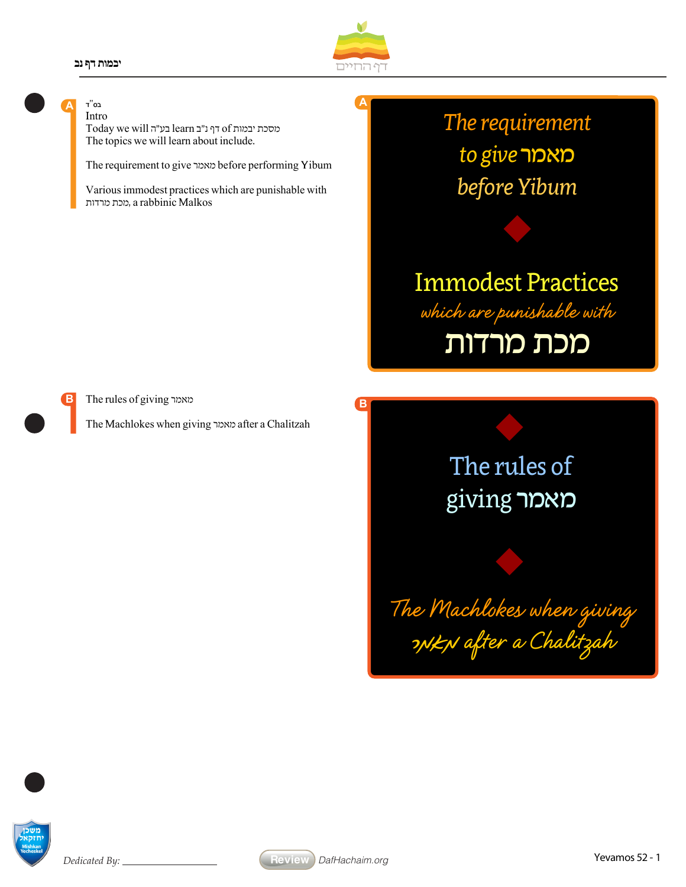

**A**

**B**

#### בס"ד Intro

**A**

**B**

מסכת יבמות of דף נ"ב learn בע"ה will we Today The topics we will learn about include.

The requirement to give מאמר before performing Yibum

Various immodest practices which are punishable with מרדות מכת, a rabbinic Malkos

# *The requirement to give* מאמר *before Yibum*

Immodest Practices **which are punishable with** מכת מרדות

The rules of giving מאמר

The Machlokes when giving מאמר after a Chalitzah

The rules of מאמר giving

**The Machlokes when giving מאמר after a Chalitzah**



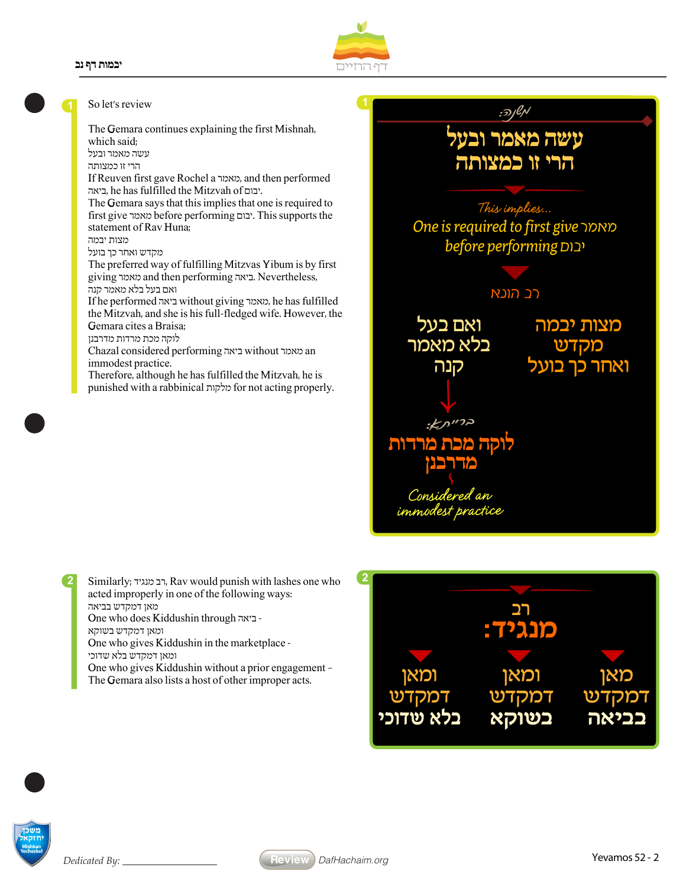

So let's review

The Gemara continues explaining the first Mishnah, which said;

עשה מאמר ובעל הרי זו כמצותה

If Reuven first gave Rochel a מאמר, and then performed ביאה, he has fulfilled the Mitzvah of יבום.

The Gemara says that this implies that one is required to first give מאמר before performing יבום. This supports the statement of Rav Huna;

מצות יבמה

מקדש ואחר כך בועל

The preferred way of fulfilling Mitzvas Yibum is by first giving מאמר and then performing ביאה. Nevertheless, ואם בעל בלא מאמר קנה

If he performed ביאה without giving מאמר, he has fulfilled the Mitzvah, and she is his full-fledged wife. However, the Gemara cites a Braisa;

לוקה מכת מרדות מדרבנן

Chazal considered performing ביאה without מאמר an immodest practice.

Therefore, although he has fulfilled the Mitzvah, he is punished with a rabbinical מלקות for not acting properly.



**2** Similarly; מנגיד רב, Rav would punish with lashes one who acted improperly in one of the following ways: מאן דמקדש בביאה One who does Kiddushin through ביאה - ומאן דמקדש בשוקא One who gives Kiddushin in the marketplace - ומאן דמקדש בלא שדוכי One who gives Kiddushin without a prior engagement –

The Gemara also lists a host of other improper acts.



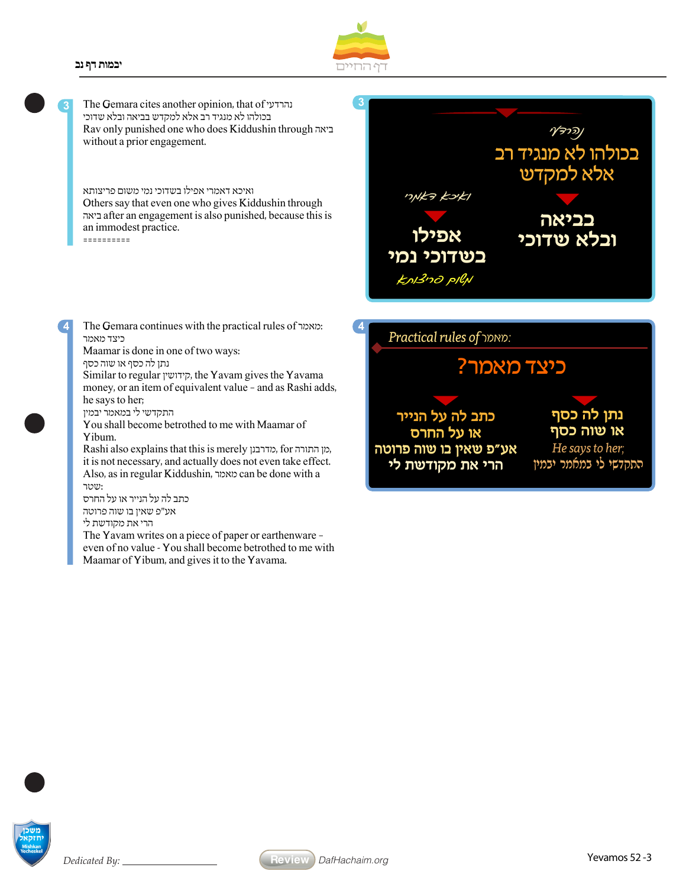**3**

**4**



**3**

The Gemara cites another opinion, that of נהרדעי בכולהו לא מנגיד רב אלא למקדש בביאה ובלא שדוכי Rav only punished one who does Kiddushin through ביאה without a prior engagement.

ואיכא דאמרי אפילו בשדוכי נמי משום פריצותא Others say that even one who gives Kiddushin through ביאה after an engagement is also punished, because this is an immodest practice.

==========

**4** The Gemara continues with the practical rules of מאמר: **בביאה ובלא שדוכי ואיכא דאמרי אפילו בשדוכי נמי משום פריצותא** *Practical rules of* מאמר*:* כיצד מאמר? <mark>נתן לה כסף</mark> **או שוה כ** *He says to her;* **התקדשי לי במאמר יבמין כתב לה על הנייר או על החר אע"פ שאי בו שוה פרוטה הרי את מקודשת לי**

**נהרדעי** בכולהו לא מנגיד רב אלא למקדש

כיצד מאמר Maamar is done in one of two ways: נתן לה כסף או שוה כסף Similar to regular קידושין, the Yavam gives the Yavama money, or an item of equivalent value – and as Rashi adds, he says to her; התקדשי לי במאמר יבמין

You shall become betrothed to me with Maamar of Yibum.

Rashi also explains that this is merely מדרבנן, for התורה מן, it is not necessary, and actually does not even take effect. Also, as in regular Kiddushin, מאמר can be done with a :שטר

כתב לה על הנייר או על החרס אע"פ שאין בו שוה פרוטה

הרי את מקודשת לי

The Yavam writes on a piece of paper or earthenware – even of no value - You shall become betrothed to me with Maamar of Yibum, and gives it to the Yavama.



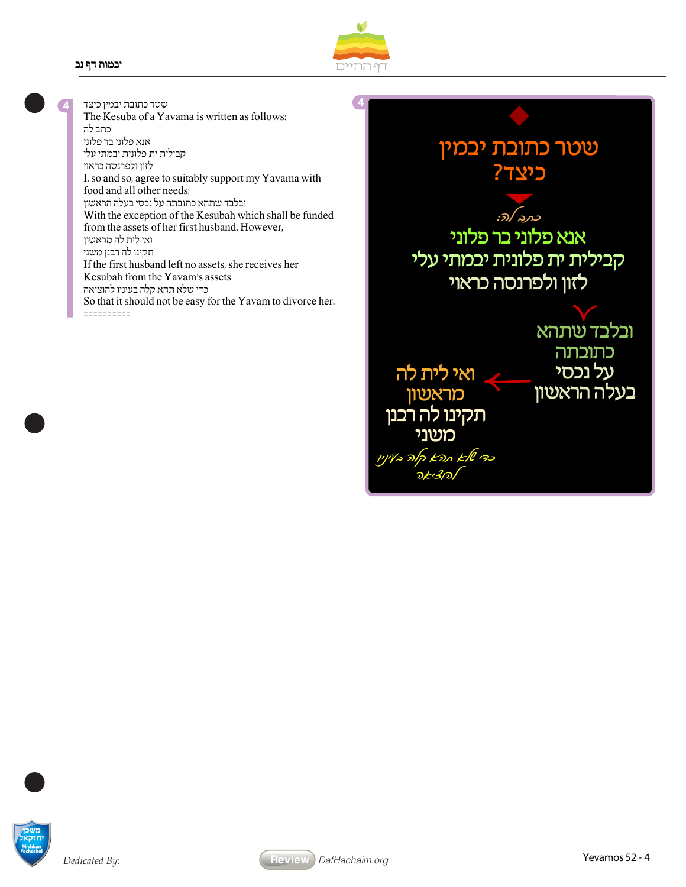

**4 4** שטר כתובת יבמין כיצד The Kesuba of a Yavama is written as follows: כתב לה אנא פלוני בר פלוני קבילית ית פלונית יבמתי עלי לזון ולפרנסה כראוי I, so and so, agree to suitably support my Yavama with food and all other needs; ובלבד שתהא כתובתה על נכסי בעלה הראשון With the exception of the Kesubah which shall be funded from the assets of her first husband. However, ואי לית לה מראשון תקינו לה רבנן משני If the first husband left no assets, she receives her Kesubah from the Yavam's assets כדי שלא תהא קלה בעיניו להוציאה So that it should not be easy for the Yavam to divorce her. ==========





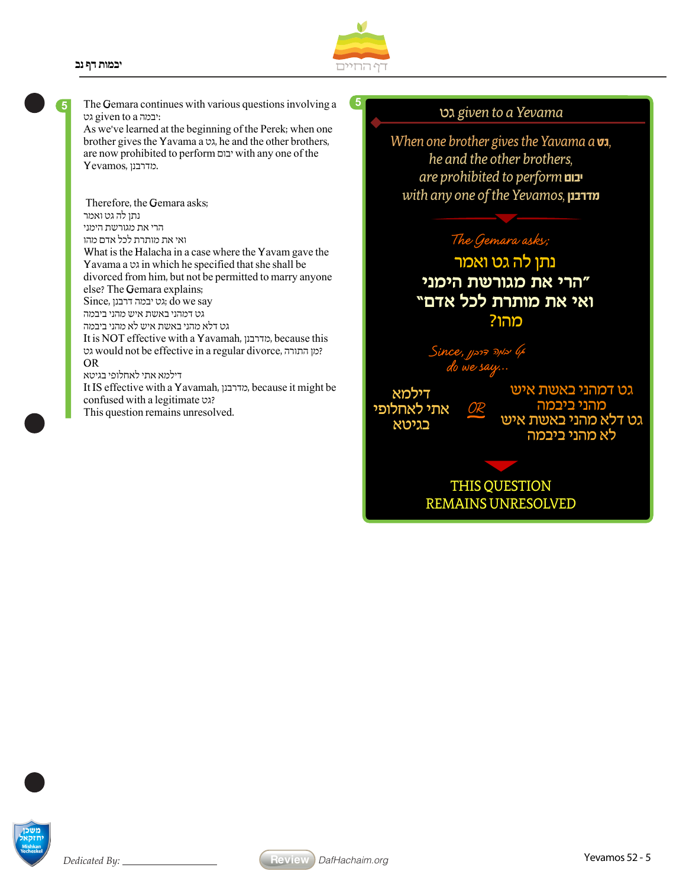



## THIS QUESTION REMAINS UNRESOLVED

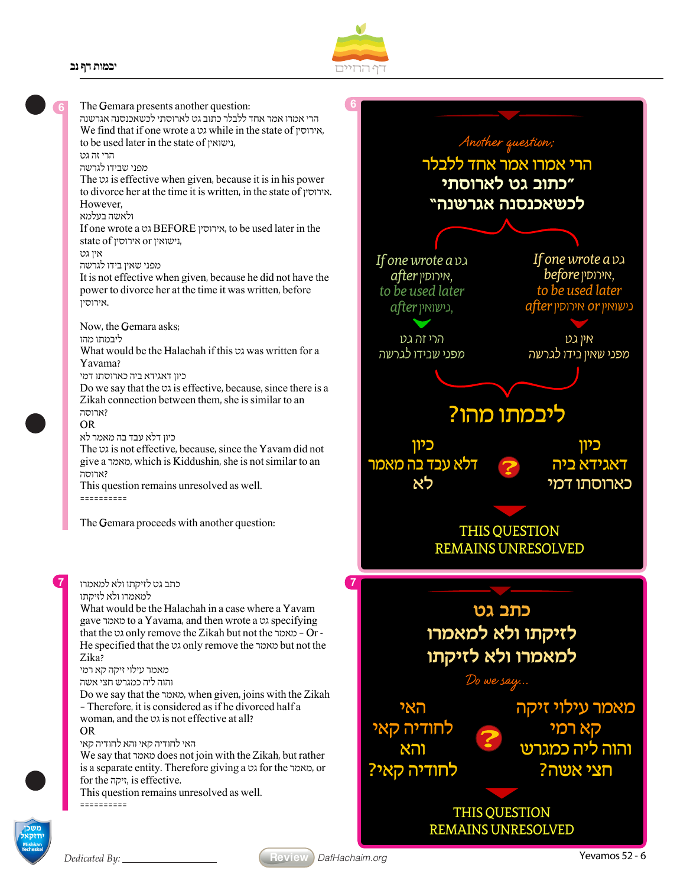

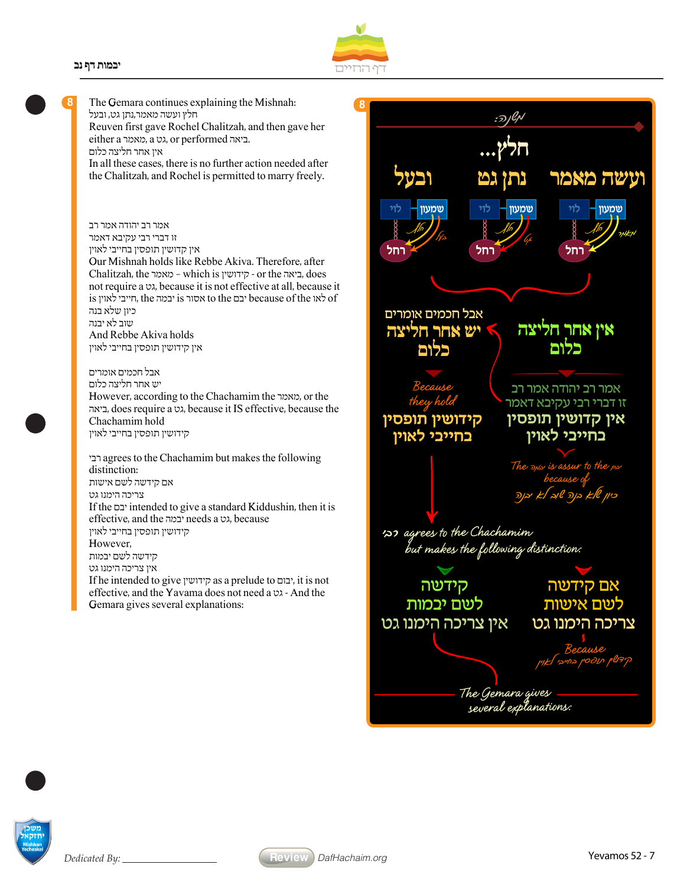

**8** The Gemara continues explaining the Mishnah: **8** חלץ ועשה מאמר,נתן גט, ובעל Reuven first gave Rochel Chalitzah, and then gave her either a מאמר, a גט, or performed ביאה. אין אחר חליצה כלום In all these cases, there is no further action needed after the Chalitzah, and Rochel is permitted to marry freely. אמר רב יהודה אמר רב זו דברי רבי עקיבא דאמר אין קדושין תופסין בחייבי לאוין Our Mishnah holds like Rebbe Akiva. Therefore, after Chalitzah, the מאמר – which is קידושין - or the ביאה, does not require a גט, because it is not effective at all, because it is לאוין חייבי, the יבמה is אסור to the יבם because of the לאו of כיון שלא בנה שוב לא יבנה And Rebbe Akiva holds אין קידושין תופסין בחייבי לאוין אבל חכמים אומרים יש אחר חליצה כלום However, according to the Chachamim the מאמר, or the ביאה, does require a גט, because it IS effective, because the Chachamim hold קידושין תופסין בחייבי לאוין רבי agrees to the Chachamim but makes the following distinction: אם קידשה לשם אישות צריכה הימנו גט If the יבם intended to give a standard Kiddushin, then it is effective, and the יבמה needs a גט, because קידושין תופסין בחייבי לאוין However, קידשה לשם יבמות אין צריכה הימנו גט If he intended to give קידושין as a prelude to יבום, it is not effective, and the Yavama does not need a גט - And the Gemara gives several explanations:





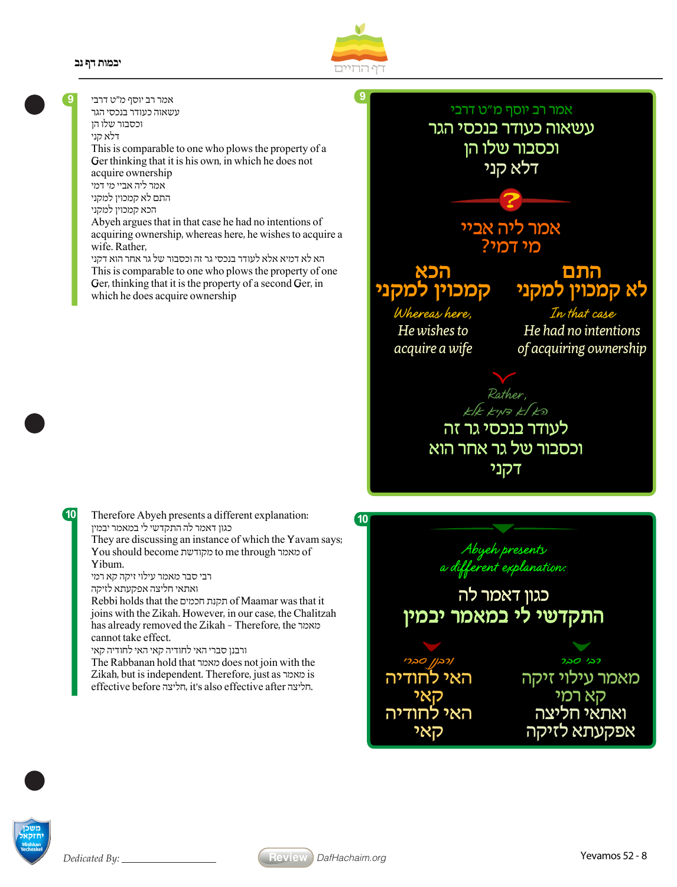**9**

**10**

Yibum.



**9** אמר רב יוסף מ"ט דרבי עשאוה כעודר בנכסי הגר וכסבור שלו הן דלא קני This is comparable to one who plows the property of a Ger thinking that it is his own, in which he does not acquire ownership אמר ליה אביי מי דמי התם לא קמכוין למקני הכא קמכוין למקני Abyeh argues that in that case he had no intentions of acquiring ownership, whereas here, he wishes to acquire a wife. Rather, הא לא דמיא אלא לעודר בנכסי גר זה וכסבור של גר אחר הוא דקני This is comparable to one who plows the property of one Ger, thinking that it is the property of a second Ger, in which he does acquire ownership

Therefore Abyeh presents a different explanation:

They are discussing an instance of which the Yavam says; You should become מקודשת to me through מאמר of

Rebbi holds that the חכמים תקנת of Maamar was that it joins with the Zikah. However, in our case, the Chalitzah has already removed the Zikah – Therefore, the מאמר

The Rabbanan hold that מאמר does not join with the Zikah, but is independent. Therefore, just as מאמר is effective before חליצה, it's also effective after חליצה.

כגון דאמר לה התקדשי לי במאמר יבמין

ורבנן סברי האי לחודיה קאי האי לחודיה קאי

רבי סבר מאמר עילוי זיקה קא רמי ואתאי חליצה אפקעתא לזיקה

cannot take effect.